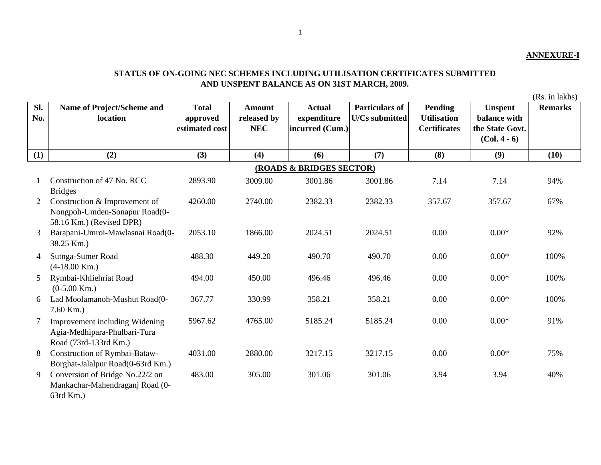## **ANNEXURE-I**

## **STATUS OF ON-GOING NEC SCHEMES INCLUDING UTILISATION CERTIFICATES SUBMITTED AND UNSPENT BALANCE AS ON 31ST MARCH, 2009.**

(Rs. in lakhs)

| SI.<br>No. | Name of Project/Scheme and<br>location                                                     | <b>Total</b><br>approved<br>estimated cost | <b>Amount</b><br>released by<br><b>NEC</b> | <b>Actual</b><br>expenditure<br>incurred (Cum.) | <b>Particulars of</b><br><b>U/Cs submitted</b> | <b>Pending</b><br><b>Utilisation</b><br><b>Certificates</b> | <b>Unspent</b><br>balance with<br>the State Govt.<br>$(Col. 4 - 6)$ | <b>Remarks</b> |  |  |  |
|------------|--------------------------------------------------------------------------------------------|--------------------------------------------|--------------------------------------------|-------------------------------------------------|------------------------------------------------|-------------------------------------------------------------|---------------------------------------------------------------------|----------------|--|--|--|
| (1)        | (2)                                                                                        | (3)                                        | (4)                                        | (6)                                             | (7)                                            | (8)                                                         | (9)                                                                 | (10)           |  |  |  |
|            | (ROADS & BRIDGES SECTOR)                                                                   |                                            |                                            |                                                 |                                                |                                                             |                                                                     |                |  |  |  |
|            | Construction of 47 No. RCC<br><b>Bridges</b>                                               | 2893.90                                    | 3009.00                                    | 3001.86                                         | 3001.86                                        | 7.14                                                        | 7.14                                                                | 94%            |  |  |  |
| 2          | Construction & Improvement of<br>Nongpoh-Umden-Sonapur Road(0-<br>58.16 Km.) (Revised DPR) | 4260.00                                    | 2740.00                                    | 2382.33                                         | 2382.33                                        | 357.67                                                      | 357.67                                                              | 67%            |  |  |  |
| 3          | Barapani-Umroi-Mawlasnai Road(0-<br>38.25 Km.)                                             | 2053.10                                    | 1866.00                                    | 2024.51                                         | 2024.51                                        | 0.00                                                        | $0.00*$                                                             | 92%            |  |  |  |
| 4          | Sutnga-Sumer Road<br>$(4-18.00$ Km.)                                                       | 488.30                                     | 449.20                                     | 490.70                                          | 490.70                                         | 0.00                                                        | $0.00*$                                                             | 100%           |  |  |  |
| 5          | Rymbai-Khliehriat Road<br>$(0-5.00$ Km.)                                                   | 494.00                                     | 450.00                                     | 496.46                                          | 496.46                                         | 0.00                                                        | $0.00*$                                                             | 100%           |  |  |  |
| 6          | Lad Moolamanoh-Mushut Road(0-<br>$7.60$ Km.)                                               | 367.77                                     | 330.99                                     | 358.21                                          | 358.21                                         | 0.00                                                        | $0.00*$                                                             | 100%           |  |  |  |
| 7          | Improvement including Widening<br>Agia-Medhipara-Phulbari-Tura<br>Road (73rd-133rd Km.)    | 5967.62                                    | 4765.00                                    | 5185.24                                         | 5185.24                                        | 0.00                                                        | $0.00*$                                                             | 91%            |  |  |  |
| 8          | Construction of Rymbai-Bataw-<br>Borghat-Jalalpur Road(0-63rd Km.)                         | 4031.00                                    | 2880.00                                    | 3217.15                                         | 3217.15                                        | 0.00                                                        | $0.00*$                                                             | 75%            |  |  |  |
| 9          | Conversion of Bridge No.22/2 on<br>Mankachar-Mahendraganj Road (0-<br>63rd Km.)            | 483.00                                     | 305.00                                     | 301.06                                          | 301.06                                         | 3.94                                                        | 3.94                                                                | 40%            |  |  |  |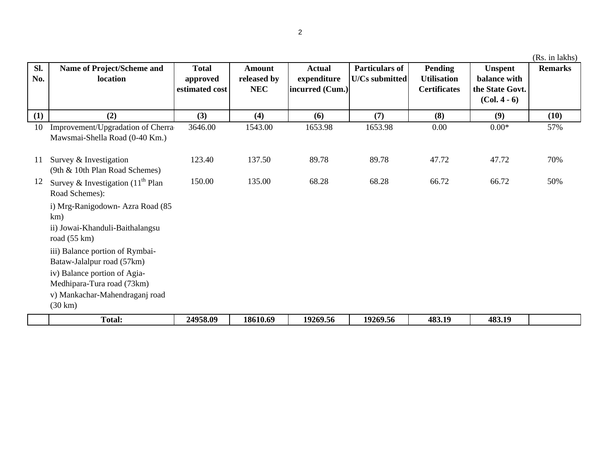| Sl.<br>No. | Name of Project/Scheme and<br>location                                                                            | <b>Total</b><br>approved<br>estimated cost | <b>Amount</b><br>released by<br><b>NEC</b> | <b>Actual</b><br>expenditure<br>incurred (Cum.) | <b>Particulars of</b><br><b>U/Cs submitted</b> | Pending<br><b>Utilisation</b><br><b>Certificates</b> | <b>Unspent</b><br>balance with<br>the State Govt. | <b>Remarks</b> |
|------------|-------------------------------------------------------------------------------------------------------------------|--------------------------------------------|--------------------------------------------|-------------------------------------------------|------------------------------------------------|------------------------------------------------------|---------------------------------------------------|----------------|
|            |                                                                                                                   |                                            |                                            |                                                 |                                                |                                                      | $(Col. 4 - 6)$                                    |                |
| (1)        | (2)                                                                                                               | (3)                                        | (4)                                        | (6)                                             | (7)                                            | (8)                                                  | (9)                                               | (10)           |
| 10         | Improvement/Upgradation of Cherra<br>Mawsmai-Shella Road (0-40 Km.)                                               | 3646.00                                    | 1543.00                                    | 1653.98                                         | 1653.98                                        | 0.00                                                 | $0.00*$                                           | 57%            |
| 11         | Survey & Investigation<br>(9th & 10th Plan Road Schemes)                                                          | 123.40                                     | 137.50                                     | 89.78                                           | 89.78                                          | 47.72                                                | 47.72                                             | 70%            |
| 12         | Survey & Investigation $(11th$ Plan<br>Road Schemes):                                                             | 150.00                                     | 135.00                                     | 68.28                                           | 68.28                                          | 66.72                                                | 66.72                                             | 50%            |
|            | i) Mrg-Ranigodown- Azra Road (85<br>km)<br>ii) Jowai-Khanduli-Baithalangsu<br>road $(55 \text{ km})$              |                                            |                                            |                                                 |                                                |                                                      |                                                   |                |
|            | iii) Balance portion of Rymbai-<br>Bataw-Jalalpur road (57km)                                                     |                                            |                                            |                                                 |                                                |                                                      |                                                   |                |
|            | iv) Balance portion of Agia-<br>Medhipara-Tura road (73km)<br>v) Mankachar-Mahendraganj road<br>$(30 \text{ km})$ |                                            |                                            |                                                 |                                                |                                                      |                                                   |                |
|            | <b>Total:</b>                                                                                                     | 24958.09                                   | 18610.69                                   | 19269.56                                        | 19269.56                                       | 483.19                                               | 483.19                                            |                |

(Rs. in lakhs)

2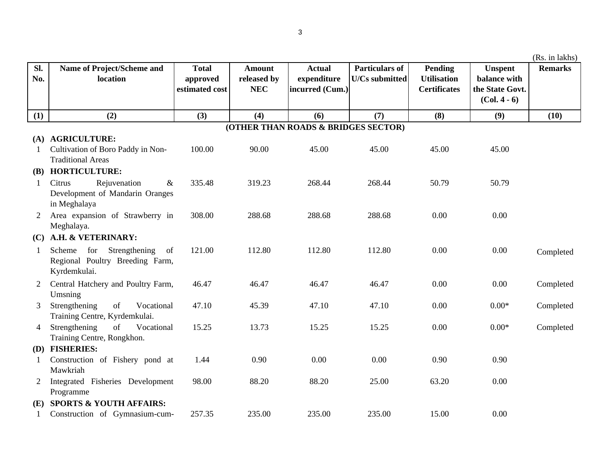|                |                                                                                         |                                            |                                            |                                                 |                                                |                                                      |                                                                     | (Rs. in lakhs) |  |  |
|----------------|-----------------------------------------------------------------------------------------|--------------------------------------------|--------------------------------------------|-------------------------------------------------|------------------------------------------------|------------------------------------------------------|---------------------------------------------------------------------|----------------|--|--|
| Sl.<br>No.     | Name of Project/Scheme and<br>location                                                  | <b>Total</b><br>approved<br>estimated cost | <b>Amount</b><br>released by<br><b>NEC</b> | <b>Actual</b><br>expenditure<br>incurred (Cum.) | <b>Particulars of</b><br><b>U/Cs submitted</b> | Pending<br><b>Utilisation</b><br><b>Certificates</b> | <b>Unspent</b><br>balance with<br>the State Govt.<br>$(Col. 4 - 6)$ | <b>Remarks</b> |  |  |
|                |                                                                                         |                                            |                                            |                                                 |                                                |                                                      |                                                                     |                |  |  |
| (1)            | (2)                                                                                     | (3)                                        | (4)                                        | (6)                                             | (7)                                            | (8)                                                  | (9)                                                                 | (10)           |  |  |
|                | (OTHER THAN ROADS & BRIDGES SECTOR)                                                     |                                            |                                            |                                                 |                                                |                                                      |                                                                     |                |  |  |
|                | (A) AGRICULTURE:                                                                        |                                            |                                            |                                                 |                                                |                                                      |                                                                     |                |  |  |
|                | Cultivation of Boro Paddy in Non-                                                       | 100.00                                     | 90.00                                      | 45.00                                           | 45.00                                          | 45.00                                                | 45.00                                                               |                |  |  |
|                | <b>Traditional Areas</b>                                                                |                                            |                                            |                                                 |                                                |                                                      |                                                                     |                |  |  |
|                | (B) HORTICULTURE:                                                                       |                                            |                                            |                                                 |                                                |                                                      |                                                                     |                |  |  |
| 1              | Citrus<br>Rejuvenation<br>$\&$<br>Development of Mandarin Oranges                       | 335.48                                     | 319.23                                     | 268.44                                          | 268.44                                         | 50.79                                                | 50.79                                                               |                |  |  |
|                | in Meghalaya                                                                            |                                            |                                            |                                                 | 288.68                                         | 0.00                                                 |                                                                     |                |  |  |
| $\overline{2}$ | Area expansion of Strawberry in<br>Meghalaya.                                           | 308.00                                     | 288.68                                     | 288.68                                          |                                                |                                                      | 0.00                                                                |                |  |  |
|                | A.H. & VETERINARY:                                                                      |                                            |                                            |                                                 |                                                |                                                      |                                                                     |                |  |  |
| (C)            |                                                                                         |                                            |                                            |                                                 |                                                |                                                      |                                                                     |                |  |  |
| 1              | for<br>Strengthening<br>Scheme<br>of<br>Regional Poultry Breeding Farm,<br>Kyrdemkulai. | 121.00                                     | 112.80                                     | 112.80                                          | 112.80                                         | 0.00                                                 | 0.00                                                                | Completed      |  |  |
| 2              | Central Hatchery and Poultry Farm,                                                      | 46.47                                      | 46.47                                      | 46.47                                           | 46.47                                          | 0.00                                                 | 0.00                                                                | Completed      |  |  |
|                | Umsning                                                                                 |                                            |                                            |                                                 |                                                |                                                      |                                                                     |                |  |  |
| 3              | Strengthening<br>of<br>Vocational<br>Training Centre, Kyrdemkulai.                      | 47.10                                      | 45.39                                      | 47.10                                           | 47.10                                          | 0.00                                                 | $0.00*$                                                             | Completed      |  |  |
| 4              | of<br>Strengthening<br>Vocational                                                       | 15.25                                      | 13.73                                      | 15.25                                           | 15.25                                          | 0.00                                                 | $0.00*$                                                             | Completed      |  |  |
|                | Training Centre, Rongkhon.                                                              |                                            |                                            |                                                 |                                                |                                                      |                                                                     |                |  |  |
|                | (D) FISHERIES:                                                                          |                                            |                                            |                                                 |                                                |                                                      |                                                                     |                |  |  |
| 1              | Construction of Fishery pond at                                                         | 1.44                                       | 0.90                                       | 0.00                                            | 0.00                                           | 0.90                                                 | 0.90                                                                |                |  |  |
|                | Mawkriah                                                                                |                                            |                                            |                                                 |                                                |                                                      |                                                                     |                |  |  |
| 2              | Integrated Fisheries Development                                                        | 98.00                                      | 88.20                                      | 88.20                                           | 25.00                                          | 63.20                                                | 0.00                                                                |                |  |  |
|                | Programme                                                                               |                                            |                                            |                                                 |                                                |                                                      |                                                                     |                |  |  |
| (E)            | <b>SPORTS &amp; YOUTH AFFAIRS:</b>                                                      |                                            |                                            |                                                 |                                                |                                                      |                                                                     |                |  |  |
|                | Construction of Gymnasium-cum-                                                          | 257.35                                     | 235.00                                     | 235.00                                          | 235.00                                         | 15.00                                                | 0.00                                                                |                |  |  |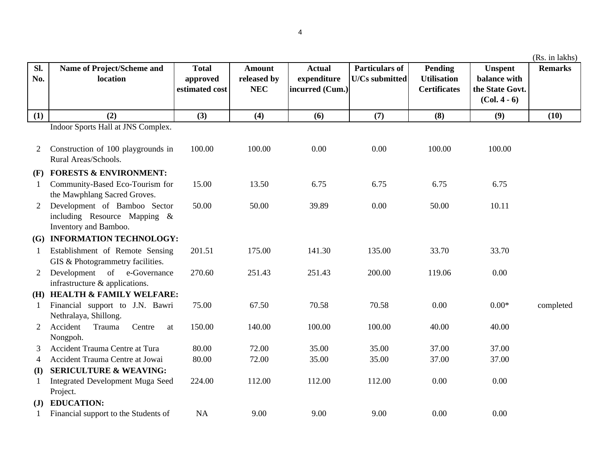|                |                                                                                       |                                            |                                            |                                                 |                                                |                                                      |                                                                     | (Rs. in lakhs) |
|----------------|---------------------------------------------------------------------------------------|--------------------------------------------|--------------------------------------------|-------------------------------------------------|------------------------------------------------|------------------------------------------------------|---------------------------------------------------------------------|----------------|
| Sl.<br>No.     | Name of Project/Scheme and<br>location                                                | <b>Total</b><br>approved<br>estimated cost | <b>Amount</b><br>released by<br><b>NEC</b> | <b>Actual</b><br>expenditure<br>incurred (Cum.) | <b>Particulars of</b><br><b>U/Cs submitted</b> | Pending<br><b>Utilisation</b><br><b>Certificates</b> | <b>Unspent</b><br>balance with<br>the State Govt.<br>$(Col. 4 - 6)$ | <b>Remarks</b> |
| (1)            | (2)                                                                                   | (3)                                        | (4)                                        | (6)                                             | (7)                                            | (8)                                                  | (9)                                                                 | (10)           |
|                | Indoor Sports Hall at JNS Complex.                                                    |                                            |                                            |                                                 |                                                |                                                      |                                                                     |                |
| 2              | Construction of 100 playgrounds in<br>Rural Areas/Schools.                            | 100.00                                     | 100.00                                     | 0.00                                            | 0.00                                           | 100.00                                               | 100.00                                                              |                |
|                | (F) FORESTS & ENVIRONMENT:                                                            |                                            |                                            |                                                 |                                                |                                                      |                                                                     |                |
| $\mathbf{1}$   | Community-Based Eco-Tourism for<br>the Mawphlang Sacred Groves.                       | 15.00                                      | 13.50                                      | 6.75                                            | 6.75                                           | 6.75                                                 | 6.75                                                                |                |
| $\overline{2}$ | Development of Bamboo Sector<br>including Resource Mapping &<br>Inventory and Bamboo. | 50.00                                      | 50.00                                      | 39.89                                           | 0.00                                           | 50.00                                                | 10.11                                                               |                |
|                | (G) INFORMATION TECHNOLOGY:                                                           |                                            |                                            |                                                 |                                                |                                                      |                                                                     |                |
| 1              | Establishment of Remote Sensing<br>GIS & Photogrammetry facilities.                   | 201.51                                     | 175.00                                     | 141.30                                          | 135.00                                         | 33.70                                                | 33.70                                                               |                |
| $\overline{2}$ | Development of e-Governance<br>infrastructure & applications.                         | 270.60                                     | 251.43                                     | 251.43                                          | 200.00                                         | 119.06                                               | 0.00                                                                |                |
| (H)            | <b>HEALTH &amp; FAMILY WELFARE:</b>                                                   |                                            |                                            |                                                 |                                                |                                                      |                                                                     |                |
| 1              | Financial support to J.N. Bawri<br>Nethralaya, Shillong.                              | 75.00                                      | 67.50                                      | 70.58                                           | 70.58                                          | 0.00                                                 | $0.00\mathrm{*}$                                                    | completed      |
| 2              | Accident<br>Trauma<br>Centre<br>at<br>Nongpoh.                                        | 150.00                                     | 140.00                                     | 100.00                                          | 100.00                                         | 40.00                                                | 40.00                                                               |                |
| 3              | Accident Trauma Centre at Tura                                                        | 80.00                                      | 72.00                                      | 35.00                                           | 35.00                                          | 37.00                                                | 37.00                                                               |                |
| 4              | Accident Trauma Centre at Jowai                                                       | 80.00                                      | 72.00                                      | 35.00                                           | 35.00                                          | 37.00                                                | 37.00                                                               |                |
| (I)            | <b>SERICULTURE &amp; WEAVING:</b>                                                     |                                            |                                            |                                                 |                                                |                                                      |                                                                     |                |
| 1              | Integrated Development Muga Seed<br>Project.                                          | 224.00                                     | 112.00                                     | 112.00                                          | 112.00                                         | 0.00                                                 | 0.00                                                                |                |
| ( <b>J</b> )   | <b>EDUCATION:</b>                                                                     |                                            |                                            |                                                 |                                                |                                                      |                                                                     |                |
|                | Financial support to the Students of                                                  | <b>NA</b>                                  | 9.00                                       | 9.00                                            | 9.00                                           | 0.00                                                 | 0.00                                                                |                |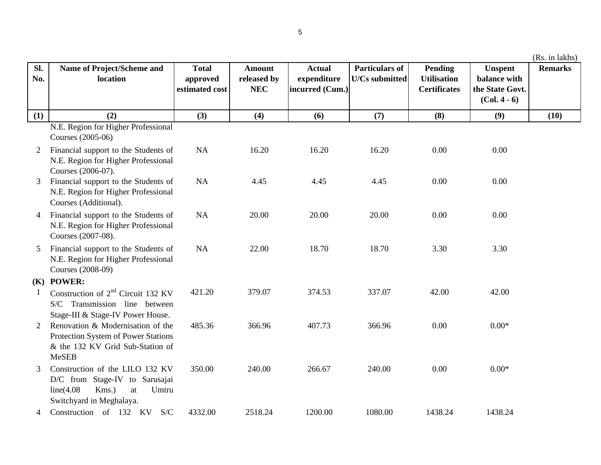| SI.<br>No.     | <b>Name of Project/Scheme and</b><br>location                                                                                       | <b>Total</b><br>approved<br>estimated cost | <b>Amount</b><br>released by<br><b>NEC</b> | <b>Actual</b><br>expenditure<br>incurred (Cum.) | <b>Particulars of</b><br><b>U/Cs submitted</b> | <b>Pending</b><br><b>Utilisation</b><br><b>Certificates</b> | <b>Unspent</b><br>balance with<br>the State Govt.<br>$(Col. 4 - 6)$ | <b>Remarks</b> |
|----------------|-------------------------------------------------------------------------------------------------------------------------------------|--------------------------------------------|--------------------------------------------|-------------------------------------------------|------------------------------------------------|-------------------------------------------------------------|---------------------------------------------------------------------|----------------|
| (1)            | (2)                                                                                                                                 | (3)                                        | (4)                                        | (6)                                             | (7)                                            | (8)                                                         | (9)                                                                 | (10)           |
|                | N.E. Region for Higher Professional<br>Courses (2005-06)                                                                            |                                            |                                            |                                                 |                                                |                                                             |                                                                     |                |
| 2              | Financial support to the Students of<br>N.E. Region for Higher Professional<br>Courses (2006-07).                                   | NA                                         | 16.20                                      | 16.20                                           | 16.20                                          | 0.00                                                        | 0.00                                                                |                |
| 3              | Financial support to the Students of<br>N.E. Region for Higher Professional<br>Courses (Additional).                                | NA                                         | 4.45                                       | 4.45                                            | 4.45                                           | 0.00                                                        | 0.00                                                                |                |
| $\overline{4}$ | Financial support to the Students of<br>N.E. Region for Higher Professional<br>Courses (2007-08).                                   | NA                                         | 20.00                                      | 20.00                                           | 20.00                                          | 0.00                                                        | 0.00                                                                |                |
| 5              | Financial support to the Students of<br>N.E. Region for Higher Professional<br>Courses (2008-09)                                    | NA                                         | 22.00                                      | 18.70                                           | 18.70                                          | 3.30                                                        | 3.30                                                                |                |
|                | (K) POWER:                                                                                                                          |                                            |                                            |                                                 |                                                |                                                             |                                                                     |                |
| $\mathbf{1}$   | Construction of $2^{nd}$ Circuit 132 KV<br>S/C Transmission line between<br>Stage-III & Stage-IV Power House.                       | 421.20                                     | 379.07                                     | 374.53                                          | 337.07                                         | 42.00                                                       | 42.00                                                               |                |
| 2              | Renovation & Modernisation of the<br>Protection System of Power Stations<br>& the 132 KV Grid Sub-Station of<br><b>MeSEB</b>        | 485.36                                     | 366.96                                     | 407.73                                          | 366.96                                         | 0.00                                                        | $0.00*$                                                             |                |
| $\mathfrak{Z}$ | Construction of the LILO 132 KV<br>D/C from Stage-IV to Sarusajai<br>Kms.)<br>line(4.08)<br>at<br>Umtru<br>Switchyard in Meghalaya. | 350.00                                     | 240.00                                     | 266.67                                          | 240.00                                         | 0.00                                                        | $0.00*$                                                             |                |
| 4              | Construction of 132 KV S/C                                                                                                          | 4332.00                                    | 2518.24                                    | 1200.00                                         | 1080.00                                        | 1438.24                                                     | 1438.24                                                             |                |

(Rs. in lakhs)

5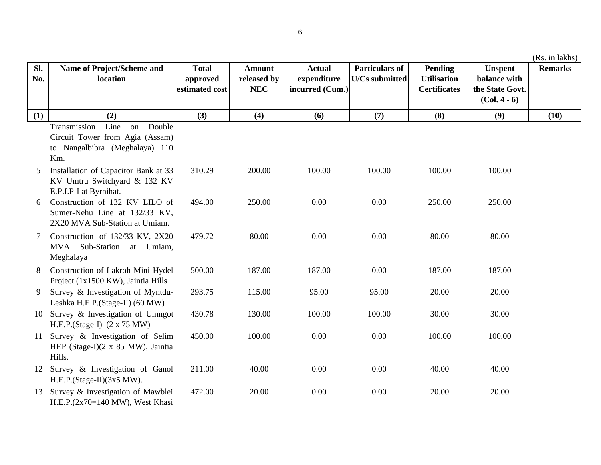| SI.<br>No. | Name of Project/Scheme and<br>location                                                                           | <b>Total</b><br>approved<br>estimated cost | <b>Amount</b><br>released by<br><b>NEC</b> | <b>Actual</b><br>expenditure<br>incurred (Cum.) | <b>Particulars of</b><br><b>U/Cs</b> submitted | <b>Pending</b><br><b>Utilisation</b><br><b>Certificates</b> | <b>Unspent</b><br>balance with<br>the State Govt.<br>$(Col. 4 - 6)$ | <b>Remarks</b> |
|------------|------------------------------------------------------------------------------------------------------------------|--------------------------------------------|--------------------------------------------|-------------------------------------------------|------------------------------------------------|-------------------------------------------------------------|---------------------------------------------------------------------|----------------|
| (1)        | (2)                                                                                                              | (3)                                        | (4)                                        | (6)                                             | (7)                                            | (8)                                                         | (9)                                                                 | (10)           |
|            | Transmission<br>Line<br>Double<br>on<br>Circuit Tower from Agia (Assam)<br>to Nangalbibra (Meghalaya) 110<br>Km. |                                            |                                            |                                                 |                                                |                                                             |                                                                     |                |
| 5          | Installation of Capacitor Bank at 33<br>KV Umtru Switchyard & 132 KV<br>E.P.I.P-I at Byrnihat.                   | 310.29                                     | 200.00                                     | 100.00                                          | 100.00                                         | 100.00                                                      | 100.00                                                              |                |
| 6          | Construction of 132 KV LILO of<br>Sumer-Nehu Line at 132/33 KV,<br>2X20 MVA Sub-Station at Umiam.                | 494.00                                     | 250.00                                     | 0.00                                            | 0.00                                           | 250.00                                                      | 250.00                                                              |                |
| 7          | Construction of 132/33 KV, 2X20<br>MVA Sub-Station<br>at Umiam,<br>Meghalaya                                     | 479.72                                     | 80.00                                      | 0.00                                            | 0.00                                           | 80.00                                                       | 80.00                                                               |                |
| 8          | Construction of Lakroh Mini Hydel<br>Project (1x1500 KW), Jaintia Hills                                          | 500.00                                     | 187.00                                     | 187.00                                          | 0.00                                           | 187.00                                                      | 187.00                                                              |                |
| 9          | Survey & Investigation of Myntdu-<br>Leshka H.E.P.(Stage-II) (60 MW)                                             | 293.75                                     | 115.00                                     | 95.00                                           | 95.00                                          | 20.00                                                       | 20.00                                                               |                |
|            | 10 Survey & Investigation of Umngot<br>H.E.P.(Stage-I) $(2 \times 75 \text{ MW})$                                | 430.78                                     | 130.00                                     | 100.00                                          | 100.00                                         | 30.00                                                       | 30.00                                                               |                |
| 11         | Survey & Investigation of Selim<br>HEP (Stage-I)(2 x 85 MW), Jaintia<br>Hills.                                   | 450.00                                     | 100.00                                     | 0.00                                            | 0.00                                           | 100.00                                                      | 100.00                                                              |                |

12 Survey & Investigation of Ganol  $211.00$   $40.00$   $0.00$   $0.00$   $0.00$   $40.00$   $40.00$ 13 Survey & Investigation of Mawblei 472.00 20.00 0.00 0.00 0.00 20.00 20.00 20.00 H.E.P.(Stage-II)(3x5 MW). H.E.P.(2x70=140 MW), West Khasi

**Sl. No.**

6

(Rs. in lakhs)

40.00

20.00